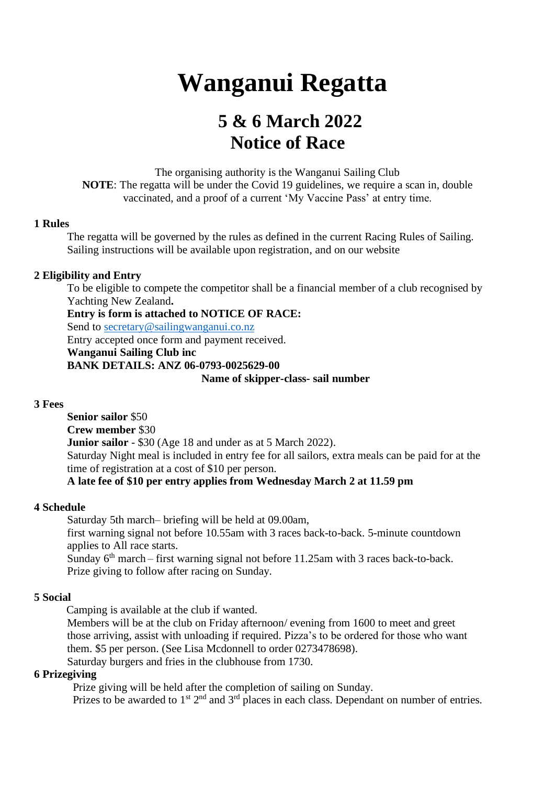# **Wanganui Regatta**

## **5 & 6 March 2022 Notice of Race**

The organising authority is the Wanganui Sailing Club **NOTE:** The regatta will be under the Covid 19 guidelines, we require a scan in, double vaccinated, and a proof of a current 'My Vaccine Pass' at entry time.

#### **1 Rules**

The regatta will be governed by the rules as defined in the current Racing Rules of Sailing. Sailing instructions will be available upon registration, and on our website

#### **2 Eligibility and Entry**

To be eligible to compete the competitor shall be a financial member of a club recognised by Yachting New Zealand**.**

**Entry is form is attached to NOTICE OF RACE:** 

Send to [secretary@sailingwanganui.co.nz](mailto:secretary@sailingwanganui.co.nz)

Entry accepted once form and payment received.

**Wanganui Sailing Club inc**

**BANK DETAILS: ANZ 06-0793-0025629-00**

#### **Name of skipper-class- sail number**

#### **3 Fees**

**Senior sailor** \$50 **Crew member** \$30 **Junior sailor** - \$30 (Age 18 and under as at 5 March 2022). Saturday Night meal is included in entry fee for all sailors, extra meals can be paid for at the time of registration at a cost of \$10 per person.  **A late fee of \$10 per entry applies from Wednesday March 2 at 11.59 pm**

#### **4 Schedule**

Saturday 5th march– briefing will be held at 09.00am, first warning signal not before 10.55am with 3 races back-to-back. 5-minute countdown applies to All race starts. Sunday 6<sup>th</sup> march – first warning signal not before 11.25am with 3 races back-to-back. Prize giving to follow after racing on Sunday.

#### **5 Social**

Camping is available at the club if wanted.

Members will be at the club on Friday afternoon/ evening from 1600 to meet and greet those arriving, assist with unloading if required. Pizza's to be ordered for those who want them. \$5 per person. (See Lisa Mcdonnell to order 0273478698). Saturday burgers and fries in the clubhouse from 1730.

#### **6 Prizegiving**

Prize giving will be held after the completion of sailing on Sunday. Prizes to be awarded to  $1<sup>st</sup> 2<sup>nd</sup>$  and  $3<sup>rd</sup>$  places in each class. Dependant on number of entries.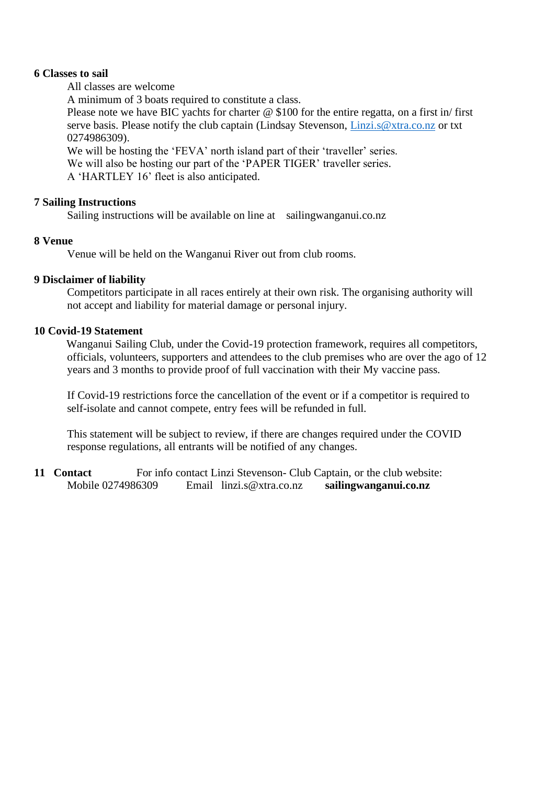#### **6 Classes to sail**

All classes are welcome

A minimum of 3 boats required to constitute a class.

Please note we have BIC yachts for charter  $\omega$  \$100 for the entire regatta, on a first in/ first serve basis. Please notify the club captain (Lindsay Stevenson, [Linzi.s@xtra.co.nz](mailto:Linzi.s@xtra.co.nz) or txt 0274986309).

We will be hosting the 'FEVA' north island part of their 'traveller' series. We will also be hosting our part of the 'PAPER TIGER' traveller series. A 'HARTLEY 16' fleet is also anticipated.

#### **7 Sailing Instructions**

Sailing instructions will be available on line at sailingwanganui.co.nz

#### **8 Venue**

Venue will be held on the Wanganui River out from club rooms.

#### **9 Disclaimer of liability**

Competitors participate in all races entirely at their own risk. The organising authority will not accept and liability for material damage or personal injury.

#### **10 Covid-19 Statement**

 Wanganui Sailing Club, under the Covid-19 protection framework, requires all competitors, officials, volunteers, supporters and attendees to the club premises who are over the ago of 12 years and 3 months to provide proof of full vaccination with their My vaccine pass.

If Covid-19 restrictions force the cancellation of the event or if a competitor is required to self-isolate and cannot compete, entry fees will be refunded in full.

This statement will be subject to review, if there are changes required under the COVID response regulations, all entrants will be notified of any changes.

**11 Contact** For info contact Linzi Stevenson- Club Captain, or the club website: Mobile 0274986309 Email linzi.s@xtra.co.nz **sailingwanganui.co.nz**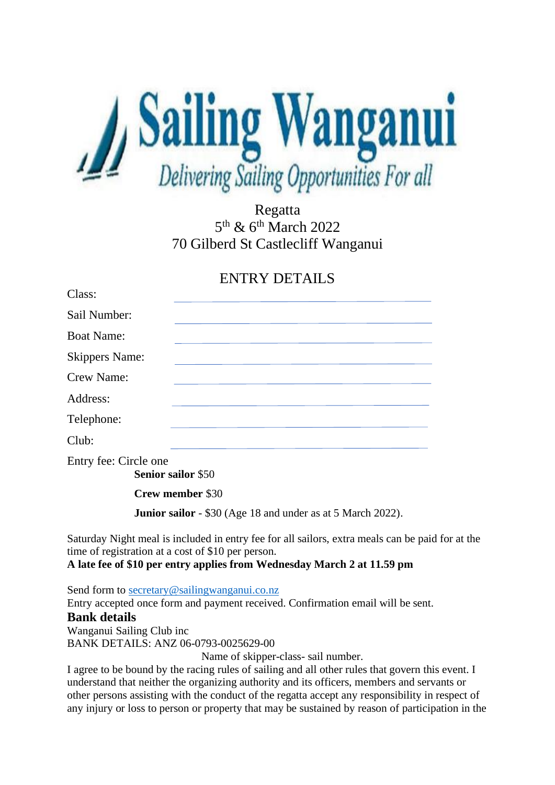

Regatta 5<sup>th</sup> & 6<sup>th</sup> March 2022 70 Gilberd St Castlecliff Wanganui

### ENTRY DETAILS

| Class:                |  |
|-----------------------|--|
| Sail Number:          |  |
| <b>Boat Name:</b>     |  |
| <b>Skippers Name:</b> |  |
| Crew Name:            |  |
| Address:              |  |
| Telephone:            |  |
| Club:                 |  |
| Entry fee: Circle one |  |

**Senior sailor** \$50

**Crew member** \$30

**Junior sailor** - \$30 (Age 18 and under as at 5 March 2022).

Saturday Night meal is included in entry fee for all sailors, extra meals can be paid for at the time of registration at a cost of \$10 per person.

#### **A late fee of \$10 per entry applies from Wednesday March 2 at 11.59 pm**

Send form to [secretary@sailingwanganui.co.nz](mailto:secretary@sailingwanganui.co.nz)

Entry accepted once form and payment received. Confirmation email will be sent. **Bank details**  Wanganui Sailing Club inc BANK DETAILS: ANZ 06-0793-0025629-00

Name of skipper-class- sail number.

I agree to be bound by the racing rules of sailing and all other rules that govern this event. I understand that neither the organizing authority and its officers, members and servants or other persons assisting with the conduct of the regatta accept any responsibility in respect of any injury or loss to person or property that may be sustained by reason of participation in the